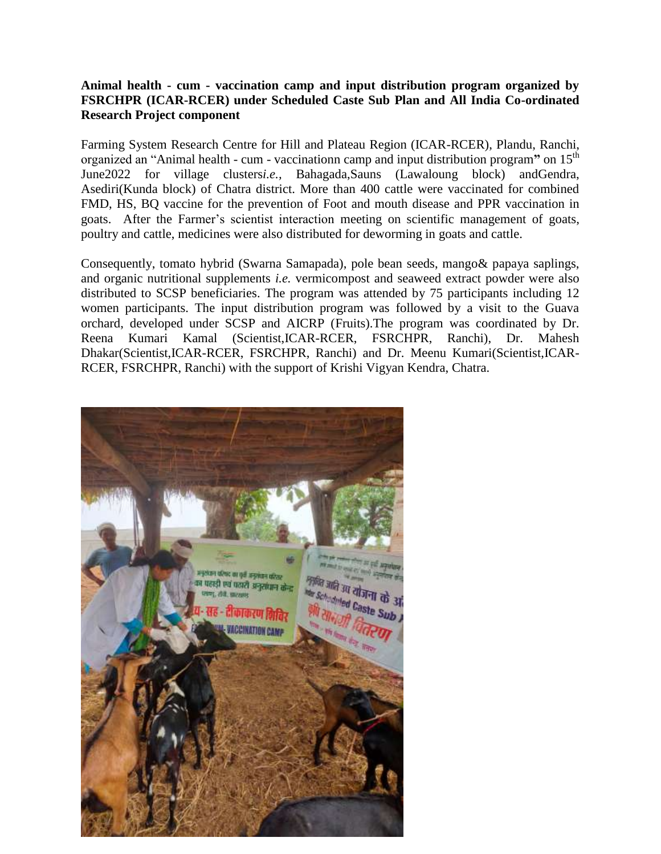## **Animal health - cum - vaccination camp and input distribution program organized by FSRCHPR (ICAR-RCER) under Scheduled Caste Sub Plan and All India Co-ordinated Research Project component**

Farming System Research Centre for Hill and Plateau Region (ICAR-RCER), Plandu, Ranchi, organized an "Animal health - cum - vaccinationn camp and input distribution program**"** on 15th June2022 for village clusters*i.e.,* Bahagada,Sauns (Lawaloung block) andGendra, Asediri(Kunda block) of Chatra district. More than 400 cattle were vaccinated for combined FMD, HS, BQ vaccine for the prevention of Foot and mouth disease and PPR vaccination in goats. After the Farmer's scientist interaction meeting on scientific management of goats, poultry and cattle, medicines were also distributed for deworming in goats and cattle.

Consequently, tomato hybrid (Swarna Samapada), pole bean seeds, mango& papaya saplings, and organic nutritional supplements *i.e.* vermicompost and seaweed extract powder were also distributed to SCSP beneficiaries. The program was attended by 75 participants including 12 women participants. The input distribution program was followed by a visit to the Guava orchard, developed under SCSP and AICRP (Fruits).The program was coordinated by Dr. Reena Kumari Kamal (Scientist,ICAR-RCER, FSRCHPR, Ranchi), Dr. Mahesh Dhakar(Scientist,ICAR-RCER, FSRCHPR, Ranchi) and Dr. Meenu Kumari(Scientist,ICAR-RCER, FSRCHPR, Ranchi) with the support of Krishi Vigyan Kendra, Chatra.